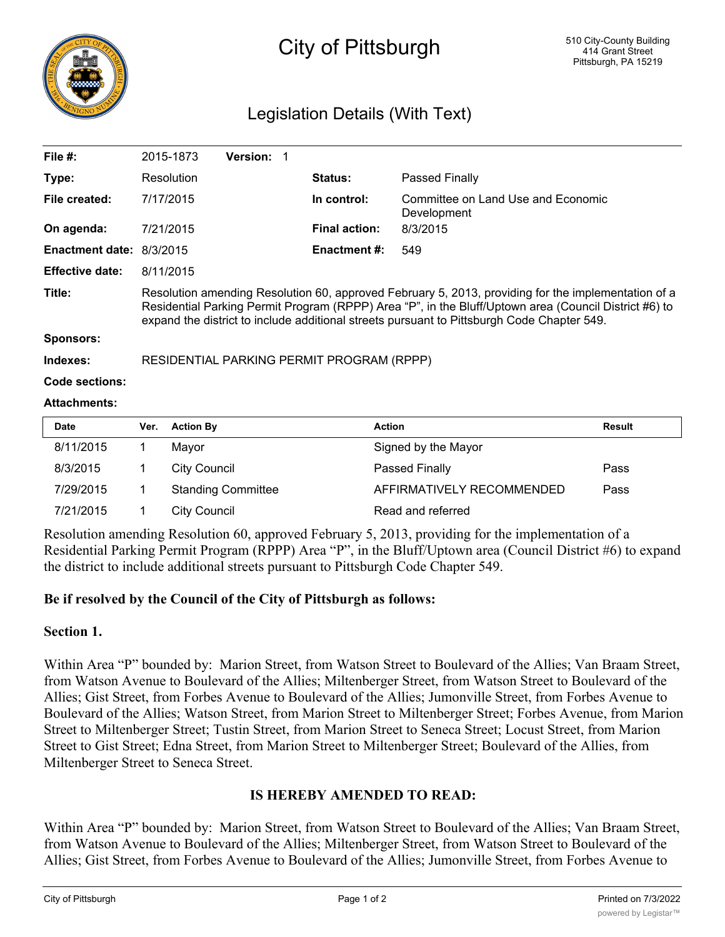

# City of Pittsburgh

## Legislation Details (With Text)

| File $#$ :               | 2015-1873                                                                                                                                                                                                                                                                                                  | <b>Version:</b> |                      |                                                   |  |  |
|--------------------------|------------------------------------------------------------------------------------------------------------------------------------------------------------------------------------------------------------------------------------------------------------------------------------------------------------|-----------------|----------------------|---------------------------------------------------|--|--|
| Type:                    | Resolution                                                                                                                                                                                                                                                                                                 |                 | <b>Status:</b>       | Passed Finally                                    |  |  |
| File created:            | 7/17/2015                                                                                                                                                                                                                                                                                                  |                 | In control:          | Committee on Land Use and Economic<br>Development |  |  |
| On agenda:               | 7/21/2015                                                                                                                                                                                                                                                                                                  |                 | <b>Final action:</b> | 8/3/2015                                          |  |  |
| Enactment date: 8/3/2015 |                                                                                                                                                                                                                                                                                                            |                 | <b>Enactment #:</b>  | 549                                               |  |  |
| <b>Effective date:</b>   | 8/11/2015                                                                                                                                                                                                                                                                                                  |                 |                      |                                                   |  |  |
| Title:                   | Resolution amending Resolution 60, approved February 5, 2013, providing for the implementation of a<br>Residential Parking Permit Program (RPPP) Area "P", in the Bluff/Uptown area (Council District #6) to<br>expand the district to include additional streets pursuant to Pittsburgh Code Chapter 549. |                 |                      |                                                   |  |  |
| <b>Sponsors:</b>         |                                                                                                                                                                                                                                                                                                            |                 |                      |                                                   |  |  |
| Indexes:                 | RESIDENTIAL PARKING PERMIT PROGRAM (RPPP)                                                                                                                                                                                                                                                                  |                 |                      |                                                   |  |  |

**Code sections:**

#### **Attachments:**

| <b>Date</b> | Ver. | <b>Action By</b>          | <b>Action</b>             | <b>Result</b> |
|-------------|------|---------------------------|---------------------------|---------------|
| 8/11/2015   |      | Mayor                     | Signed by the Mayor       |               |
| 8/3/2015    |      | <b>City Council</b>       | Passed Finally            | Pass          |
| 7/29/2015   |      | <b>Standing Committee</b> | AFFIRMATIVELY RECOMMENDED | Pass          |
| 7/21/2015   |      | <b>City Council</b>       | Read and referred         |               |

Resolution amending Resolution 60, approved February 5, 2013, providing for the implementation of a Residential Parking Permit Program (RPPP) Area "P", in the Bluff/Uptown area (Council District #6) to expand the district to include additional streets pursuant to Pittsburgh Code Chapter 549.

#### **Be if resolved by the Council of the City of Pittsburgh as follows:**

#### **Section 1.**

Within Area "P" bounded by: Marion Street, from Watson Street to Boulevard of the Allies; Van Braam Street, from Watson Avenue to Boulevard of the Allies; Miltenberger Street, from Watson Street to Boulevard of the Allies; Gist Street, from Forbes Avenue to Boulevard of the Allies; Jumonville Street, from Forbes Avenue to Boulevard of the Allies; Watson Street, from Marion Street to Miltenberger Street; Forbes Avenue, from Marion Street to Miltenberger Street; Tustin Street, from Marion Street to Seneca Street; Locust Street, from Marion Street to Gist Street; Edna Street, from Marion Street to Miltenberger Street; Boulevard of the Allies, from Miltenberger Street to Seneca Street.

### **IS HEREBY AMENDED TO READ:**

Within Area "P" bounded by: Marion Street, from Watson Street to Boulevard of the Allies; Van Braam Street, from Watson Avenue to Boulevard of the Allies; Miltenberger Street, from Watson Street to Boulevard of the Allies; Gist Street, from Forbes Avenue to Boulevard of the Allies; Jumonville Street, from Forbes Avenue to